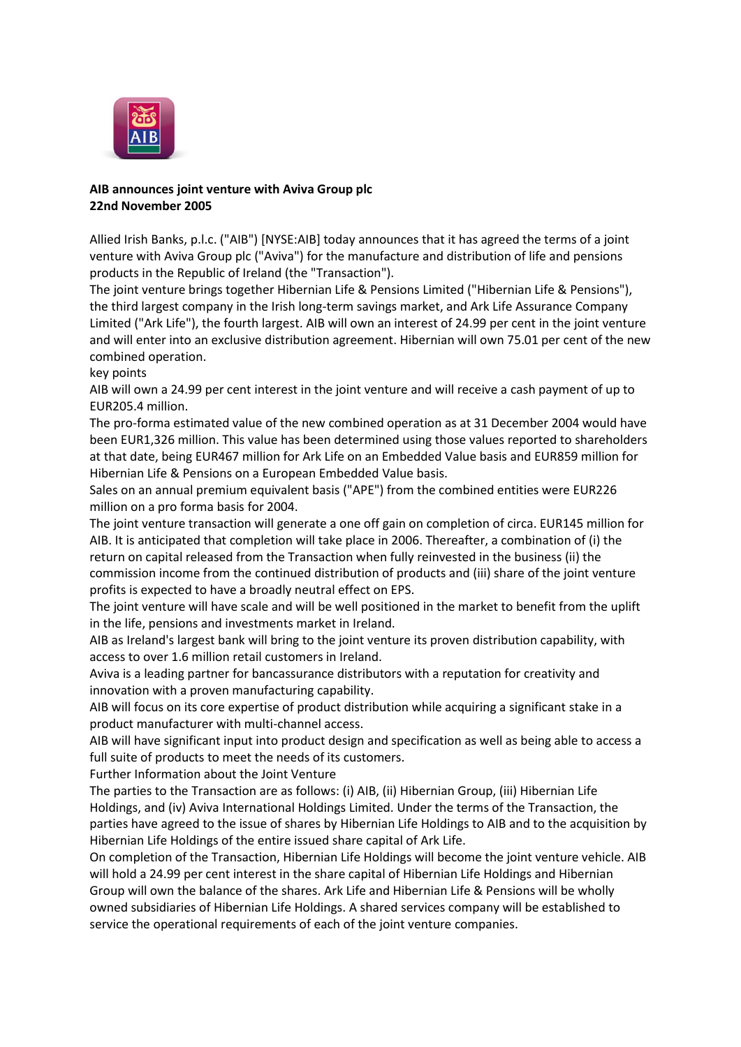

## **AIB announces joint venture with Aviva Group plc 22nd November 2005**

Allied Irish Banks, p.l.c. ("AIB") [NYSE:AIB] today announces that it has agreed the terms of a joint venture with Aviva Group plc ("Aviva") for the manufacture and distribution of life and pensions products in the Republic of Ireland (the "Transaction").

The joint venture brings together Hibernian Life & Pensions Limited ("Hibernian Life & Pensions"), the third largest company in the Irish long-term savings market, and Ark Life Assurance Company Limited ("Ark Life"), the fourth largest. AIB will own an interest of 24.99 per cent in the joint venture and will enter into an exclusive distribution agreement. Hibernian will own 75.01 per cent of the new combined operation.

key points

AIB will own a 24.99 per cent interest in the joint venture and will receive a cash payment of up to EUR205.4 million.

The pro-forma estimated value of the new combined operation as at 31 December 2004 would have been EUR1,326 million. This value has been determined using those values reported to shareholders at that date, being EUR467 million for Ark Life on an Embedded Value basis and EUR859 million for Hibernian Life & Pensions on a European Embedded Value basis.

Sales on an annual premium equivalent basis ("APE") from the combined entities were EUR226 million on a pro forma basis for 2004.

The joint venture transaction will generate a one off gain on completion of circa. EUR145 million for AIB. It is anticipated that completion will take place in 2006. Thereafter, a combination of (i) the return on capital released from the Transaction when fully reinvested in the business (ii) the commission income from the continued distribution of products and (iii) share of the joint venture profits is expected to have a broadly neutral effect on EPS.

The joint venture will have scale and will be well positioned in the market to benefit from the uplift in the life, pensions and investments market in Ireland.

AIB as Ireland's largest bank will bring to the joint venture its proven distribution capability, with access to over 1.6 million retail customers in Ireland.

Aviva is a leading partner for bancassurance distributors with a reputation for creativity and innovation with a proven manufacturing capability.

AIB will focus on its core expertise of product distribution while acquiring a significant stake in a product manufacturer with multi-channel access.

AIB will have significant input into product design and specification as well as being able to access a full suite of products to meet the needs of its customers.

Further Information about the Joint Venture

The parties to the Transaction are as follows: (i) AIB, (ii) Hibernian Group, (iii) Hibernian Life Holdings, and (iv) Aviva International Holdings Limited. Under the terms of the Transaction, the parties have agreed to the issue of shares by Hibernian Life Holdings to AIB and to the acquisition by Hibernian Life Holdings of the entire issued share capital of Ark Life.

On completion of the Transaction, Hibernian Life Holdings will become the joint venture vehicle. AIB will hold a 24.99 per cent interest in the share capital of Hibernian Life Holdings and Hibernian Group will own the balance of the shares. Ark Life and Hibernian Life & Pensions will be wholly owned subsidiaries of Hibernian Life Holdings. A shared services company will be established to service the operational requirements of each of the joint venture companies.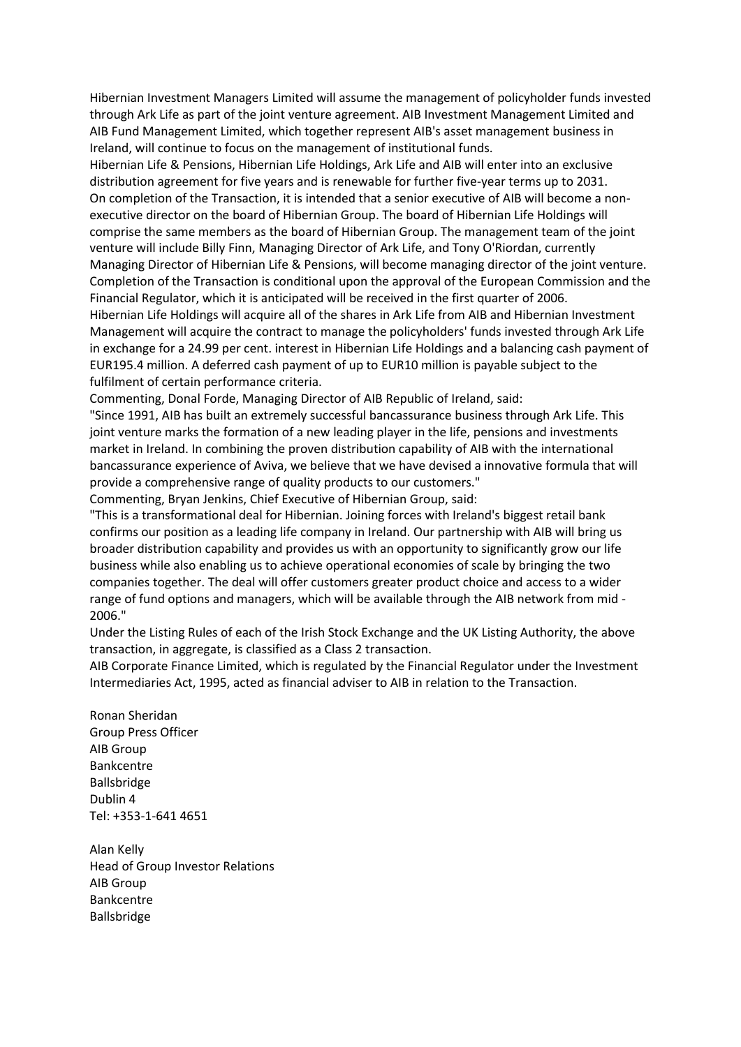Hibernian Investment Managers Limited will assume the management of policyholder funds invested through Ark Life as part of the joint venture agreement. AIB Investment Management Limited and AIB Fund Management Limited, which together represent AIB's asset management business in Ireland, will continue to focus on the management of institutional funds.

Hibernian Life & Pensions, Hibernian Life Holdings, Ark Life and AIB will enter into an exclusive distribution agreement for five years and is renewable for further five-year terms up to 2031. On completion of the Transaction, it is intended that a senior executive of AIB will become a nonexecutive director on the board of Hibernian Group. The board of Hibernian Life Holdings will comprise the same members as the board of Hibernian Group. The management team of the joint venture will include Billy Finn, Managing Director of Ark Life, and Tony O'Riordan, currently Managing Director of Hibernian Life & Pensions, will become managing director of the joint venture. Completion of the Transaction is conditional upon the approval of the European Commission and the Financial Regulator, which it is anticipated will be received in the first quarter of 2006.

Hibernian Life Holdings will acquire all of the shares in Ark Life from AIB and Hibernian Investment Management will acquire the contract to manage the policyholders' funds invested through Ark Life in exchange for a 24.99 per cent. interest in Hibernian Life Holdings and a balancing cash payment of EUR195.4 million. A deferred cash payment of up to EUR10 million is payable subject to the fulfilment of certain performance criteria.

Commenting, Donal Forde, Managing Director of AIB Republic of Ireland, said:

"Since 1991, AIB has built an extremely successful bancassurance business through Ark Life. This joint venture marks the formation of a new leading player in the life, pensions and investments market in Ireland. In combining the proven distribution capability of AIB with the international bancassurance experience of Aviva, we believe that we have devised a innovative formula that will provide a comprehensive range of quality products to our customers."

Commenting, Bryan Jenkins, Chief Executive of Hibernian Group, said:

"This is a transformational deal for Hibernian. Joining forces with Ireland's biggest retail bank confirms our position as a leading life company in Ireland. Our partnership with AIB will bring us broader distribution capability and provides us with an opportunity to significantly grow our life business while also enabling us to achieve operational economies of scale by bringing the two companies together. The deal will offer customers greater product choice and access to a wider range of fund options and managers, which will be available through the AIB network from mid - 2006."

Under the Listing Rules of each of the Irish Stock Exchange and the UK Listing Authority, the above transaction, in aggregate, is classified as a Class 2 transaction.

AIB Corporate Finance Limited, which is regulated by the Financial Regulator under the Investment Intermediaries Act, 1995, acted as financial adviser to AIB in relation to the Transaction.

Ronan Sheridan Group Press Officer AIB Group Bankcentre Ballsbridge Dublin 4 Tel: +353-1-641 4651

Alan Kelly Head of Group Investor Relations AIB Group Bankcentre Ballsbridge